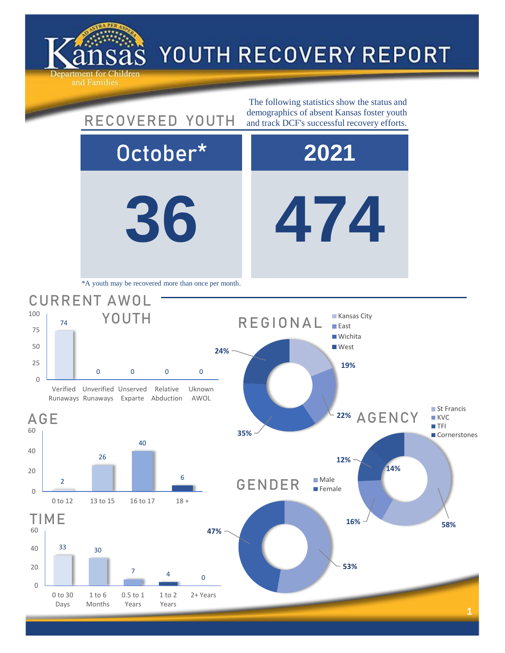

AGE

0 25

50 75

100

## YOUTH RECOVERY REPORT

**36 474** October\* **2021** 22% AGENCY 74 0 0 0 0 Verified Unverified Unserved Runaways Runaways Exparte Abduction Relative Uknown AWOL CURRENT AWOL YOUTH The following statistics show the status and RECOVERED YOUTH demographics of absent Kansas foster youth and track DCF's successful recovery efforts. \*A youth may be recovered more than once per month. **19% 35% 24%** REGIONAL **Kansas City East Wichita West** 



**12% 14%** ■ St Francis **KVC TFI Cornerstones** 

**16% 16% 16%** 

**53%**